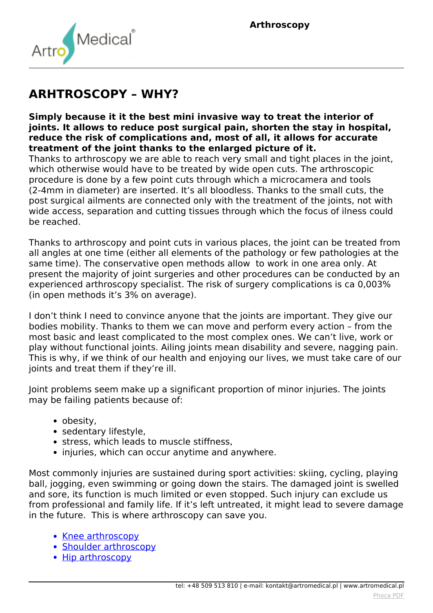

## **ARHTROSCOPY – WHY?**

**Simply because it it the best mini invasive way to treat the interior of joints. It allows to reduce post surgical pain, shorten the stay in hospital, reduce the risk of complications and, most of all, it allows for accurate treatment of the joint thanks to the enlarged picture of it.**

*Thanks to arthroscopy we are able to reach very small and tight places in the joint, which otherwise would have to be treated by wide open cuts. The arthroscopic procedure is done by a few point cuts through which a microcamera and tools (2-4mm in diameter) are inserted. It's all bloodless. Thanks to the small cuts, the post surgical ailments are connected only with the treatment of the joints, not with wide access, separation and cutting tissues through which the focus of ilness could be reached.*

*Thanks to arthroscopy and point cuts in various places, the joint can be treated from all angles at one time (either all elements of the pathology or few pathologies at the same time). The conservative open methods allow to work in one area only. At present the majority of joint surgeries and other procedures can be conducted by an experienced arthroscopy specialist. The risk of surgery complications is ca 0,003% (in open methods it's 3% on average).*

*I don't think I need to convince anyone that the joints are important. They give our bodies mobility. Thanks to them we can move and perform every action – from the most basic and least complicated to the most complex ones. We can't live, work or play without functional joints. Ailing joints mean disability and severe, nagging pain. This is why, if we think of our health and enjoying our lives, we must take care of our joints and treat them if they're ill.*

*Joint problems seem make up a significant proportion of minor injuries. The joints may be failing patients because of:*

- *obesity,*
- *sedentary lifestyle,*
- *stress, which leads to muscle stiffness,*
- *injuries, which can occur anytime and anywhere.*

*Most commonly injuries are sustained during sport activities: skiing, cycling, playing ball, jogging, even swimming or going down the stairs. The damaged joint is swelled and sore, its function is much limited or even stopped. Such injury can exclude us from professional and family life. If it's left untreated, it might lead to severe damage in the future. This is where arthroscopy can save you.*

- **[Knee arthroscopy](index.php?option=com_content&view=article&id=147:knee-treatment&catid=9:articles&Itemid=359)**
- *[Shoulder arthroscopy](index.php?option=com_content&view=article&id=149:shoulder-treatment&catid=9:articles&Itemid=361)*
- [Hip arthroscopy](index.php?option=com_content&view=article&id=146:hip-treatment&catid=9:articles&Itemid=358)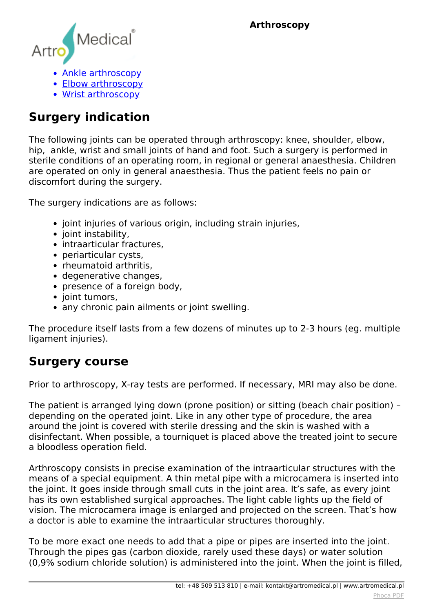**Arthroscopy**



- *[Ankle arthroscopy](index.php?option=com_content&view=article&id=148:ankle-joint-treatment&catid=9:articles&Itemid=360)*
- *[Elbow arthroscopy](index.php?option=com_content&view=article&id=150:elbow-treatment&catid=9:articles&Itemid=363)*
- *[Wrist arthroscopy](index.php?option=com_content&view=article&id=151:wrist-treatment&catid=9:articles&Itemid=362)*

## **Surgery indication**

*The following joints can be operated through arthroscopy: knee, shoulder, elbow, hip, ankle, wrist and small joints of hand and foot. Such a surgery is performed in sterile conditions of an operating room, in regional or general anaesthesia. Children are operated on only in general anaesthesia. Thus the patient feels no pain or discomfort during the surgery.*

*The surgery indications are as follows:*

- *joint injuries of various origin, including strain injuries,*
- *joint instability,*
- *intraarticular fractures,*
- *periarticular cysts,*
- *rheumatoid arthritis,*
- *degenerative changes,*
- **•** presence of a foreign body.
- *joint tumors,*
- *any chronic pain ailments or joint swelling.*

*The procedure itself lasts from a few dozens of minutes up to 2-3 hours (eg. multiple ligament injuries).*

## **Surgery course**

*Prior to arthroscopy, X-ray tests are performed. If necessary, MRI may also be done.*

*The patient is arranged lying down (prone position) or sitting (beach chair position) – depending on the operated joint. Like in any other type of procedure, the area around the joint is covered with sterile dressing and the skin is washed with a disinfectant. When possible, a tourniquet is placed above the treated joint to secure a bloodless operation field.*

*Arthroscopy consists in precise examination of the intraarticular structures with the means of a special equipment. A thin metal pipe with a microcamera is inserted into the joint. It goes inside through small cuts in the joint area. It's safe, as every joint has its own established surgical approaches. The light cable lights up the field of vision. The microcamera image is enlarged and projected on the screen. That's how a doctor is able to examine the intraarticular structures thoroughly.*

*To be more exact one needs to add that a pipe or pipes are inserted into the joint. Through the pipes gas (carbon dioxide, rarely used these days) or water solution (0,9% sodium chloride solution) is administered into the joint. When the joint is filled,*